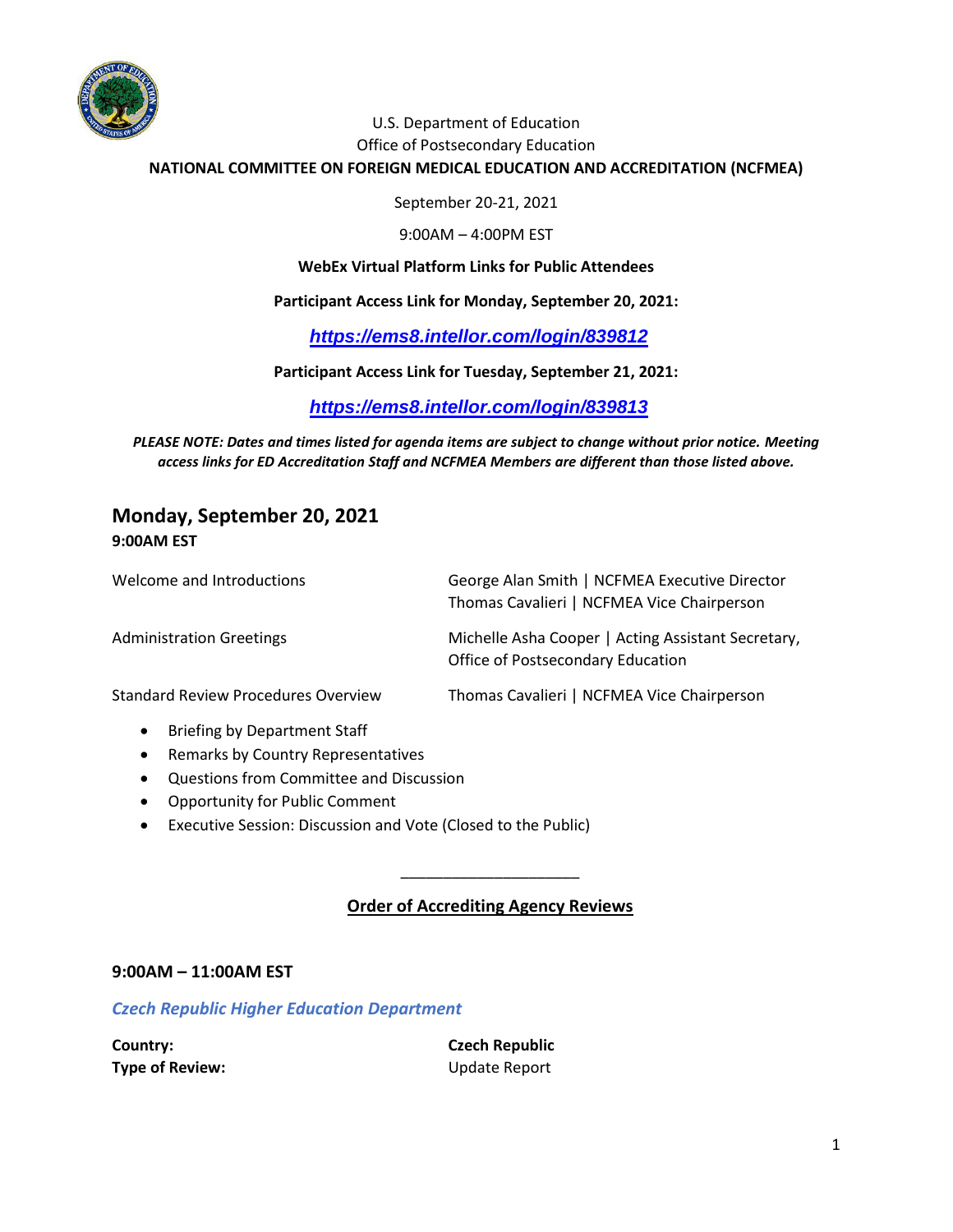

### U.S. Department of Education Office of Postsecondary Education

**NATIONAL COMMITTEE ON FOREIGN MEDICAL EDUCATION AND ACCREDITATION (NCFMEA)**

September 20-21, 2021

9:00AM – 4:00PM EST

**WebEx Virtual Platform Links for Public Attendees**

#### **Participant Access Link for Monday, September 20, 2021:**

*<https://ems8.intellor.com/login/839812>*

**Participant Access Link for Tuesday, September 21, 2021:**

*<https://ems8.intellor.com/login/839813>*

*PLEASE NOTE: Dates and times listed for agenda items are subject to change without prior notice. Meeting access links for ED Accreditation Staff and NCFMEA Members are different than those listed above.*

# **Monday, September 20, 2021 9:00AM EST**

| Welcome and Introductions                  | George Alan Smith   NCFMEA Executive Director<br>Thomas Cavalieri   NCFMEA Vice Chairperson |
|--------------------------------------------|---------------------------------------------------------------------------------------------|
| <b>Administration Greetings</b>            | Michelle Asha Cooper   Acting Assistant Secretary,<br>Office of Postsecondary Education     |
| <b>Standard Review Procedures Overview</b> | Thomas Cavalieri   NCFMEA Vice Chairperson                                                  |

- Briefing by Department Staff
- Remarks by Country Representatives
- Questions from Committee and Discussion
- Opportunity for Public Comment
- Executive Session: Discussion and Vote (Closed to the Public)

### **Order of Accrediting Agency Reviews**

\_\_\_\_\_\_\_\_\_\_\_\_\_\_\_\_\_\_\_\_\_

#### **9:00AM – 11:00AM EST**

*Czech Republic Higher Education Department* 

| Country:        | <b>Czech Republic</b> |  |
|-----------------|-----------------------|--|
| Type of Review: | Update Report         |  |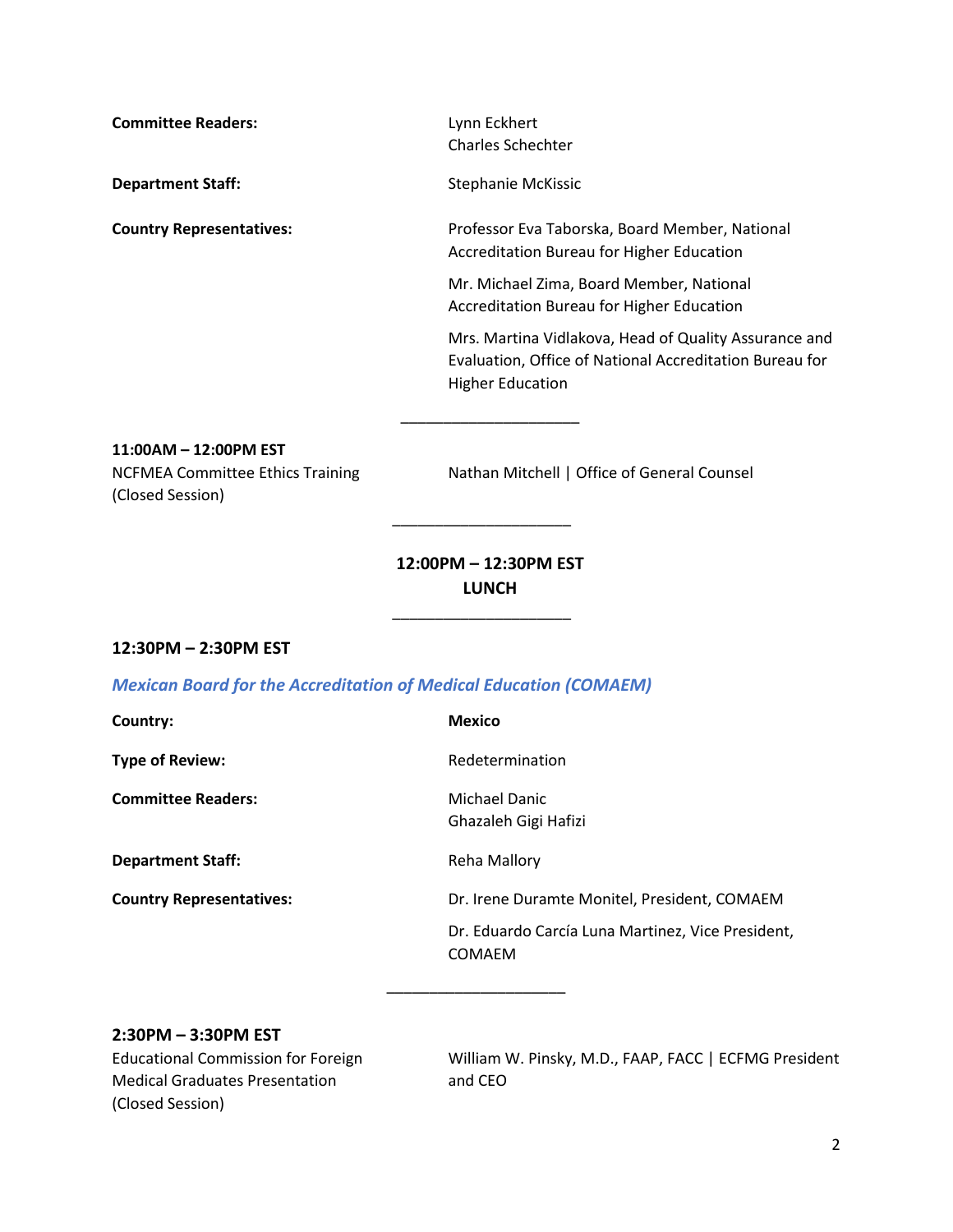**Committee Readers:** Lynn Eckhert Charles Schechter **Department Staff:** Stephanie McKissic **Country Representatives:** Professor Eva Taborska, Board Member, National Accreditation Bureau for Higher Education Mr. Michael Zima, Board Member, National

> Mrs. Martina Vidlakova, Head of Quality Assurance and Evaluation, Office of National Accreditation Bureau for Higher Education

**11:00AM – 12:00PM EST** (Closed Session)

NCFMEA Committee Ethics Training Nathan Mitchell | Office of General Counsel

Accreditation Bureau for Higher Education

# **12:00PM – 12:30PM EST LUNCH**

\_\_\_\_\_\_\_\_\_\_\_\_\_\_\_\_\_\_\_\_\_

\_\_\_\_\_\_\_\_\_\_\_\_\_\_\_\_\_\_\_\_\_

\_\_\_\_\_\_\_\_\_\_\_\_\_\_\_\_\_\_\_\_\_

### **12:30PM – 2:30PM EST**

### *Mexican Board for the Accreditation of Medical Education (COMAEM)*

**Country: Mexico**

**Type of Review:** Type of Review:

**Committee Readers:** Michael Danic

**Department Staff:** Reha Mallory

Ghazaleh Gigi Hafizi

\_\_\_\_\_\_\_\_\_\_\_\_\_\_\_\_\_\_\_\_\_

**Country Representatives:** Dr. Irene Duramte Monitel, President, COMAEM

Dr. Eduardo Carcía Luna Martinez, Vice President, COMAEM

### **2:30PM – 3:30PM EST**

Medical Graduates Presentation and CEO (Closed Session)

Educational Commission for Foreign William W. Pinsky, M.D., FAAP, FACC | ECFMG President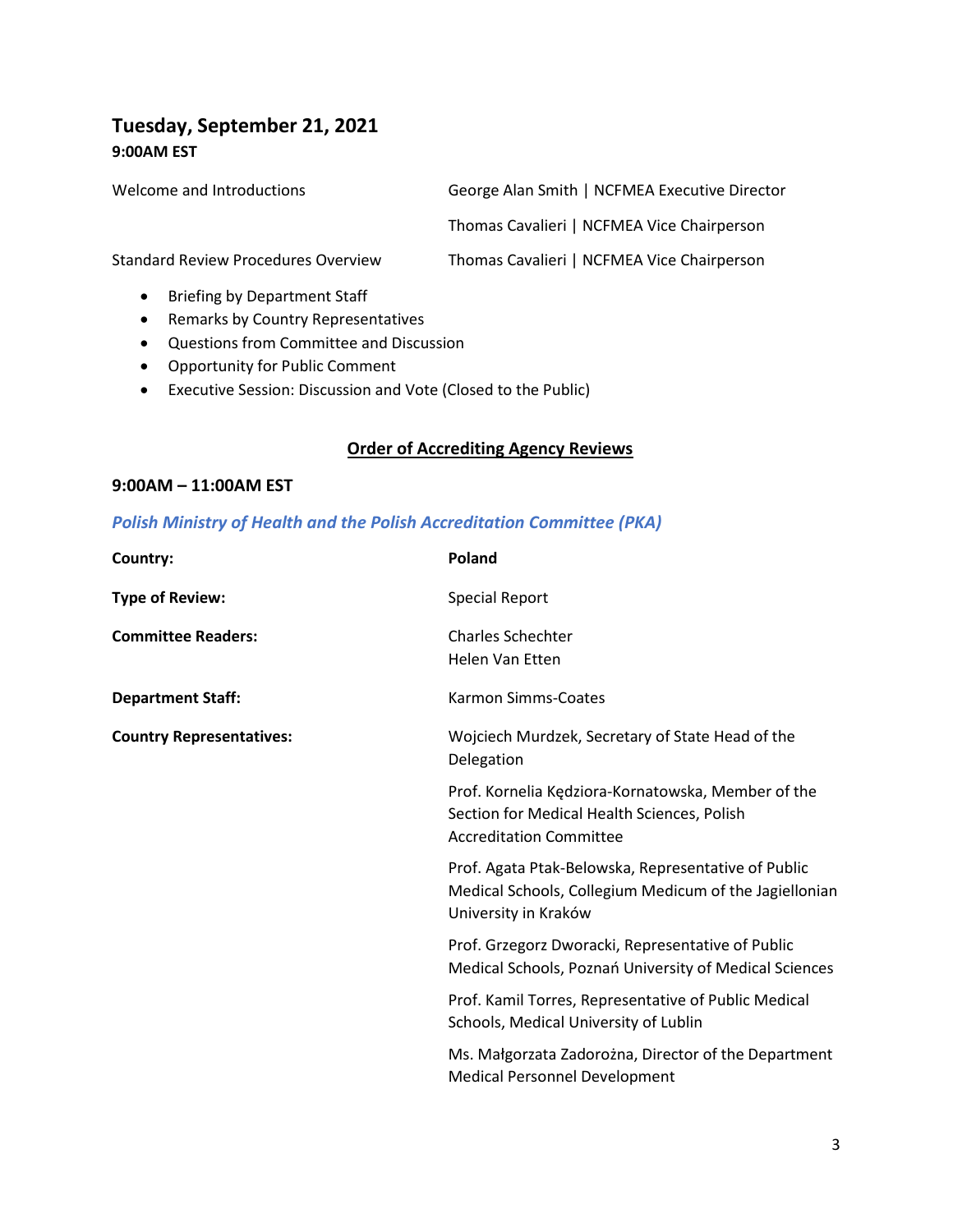# **Tuesday, September 21, 2021 9:00AM EST**

| Welcome and Introductions                        | George Alan Smith   NCFMEA Executive Director |  |  |
|--------------------------------------------------|-----------------------------------------------|--|--|
|                                                  | Thomas Cavalieri   NCFMEA Vice Chairperson    |  |  |
| <b>Standard Review Procedures Overview</b>       | Thomas Cavalieri   NCFMEA Vice Chairperson    |  |  |
| <b>Briefing by Department Staff</b><br>$\bullet$ |                                               |  |  |

- Remarks by Country Representatives
- Questions from Committee and Discussion
- Opportunity for Public Comment
- Executive Session: Discussion and Vote (Closed to the Public)

## **Order of Accrediting Agency Reviews**

### **9:00AM – 11:00AM EST**

## *Polish Ministry of Health and the Polish Accreditation Committee (PKA)*

| Country:                        | Poland                                                                                                                                |
|---------------------------------|---------------------------------------------------------------------------------------------------------------------------------------|
| <b>Type of Review:</b>          | <b>Special Report</b>                                                                                                                 |
| <b>Committee Readers:</b>       | <b>Charles Schechter</b><br><b>Helen Van Etten</b>                                                                                    |
| <b>Department Staff:</b>        | Karmon Simms-Coates                                                                                                                   |
| <b>Country Representatives:</b> | Wojciech Murdzek, Secretary of State Head of the<br>Delegation                                                                        |
|                                 | Prof. Kornelia Kędziora-Kornatowska, Member of the<br>Section for Medical Health Sciences, Polish<br><b>Accreditation Committee</b>   |
|                                 | Prof. Agata Ptak-Belowska, Representative of Public<br>Medical Schools, Collegium Medicum of the Jagiellonian<br>University in Kraków |
|                                 | Prof. Grzegorz Dworacki, Representative of Public<br>Medical Schools, Poznań University of Medical Sciences                           |
|                                 | Prof. Kamil Torres, Representative of Public Medical<br>Schools, Medical University of Lublin                                         |
|                                 | Ms. Małgorzata Zadorożna, Director of the Department<br><b>Medical Personnel Development</b>                                          |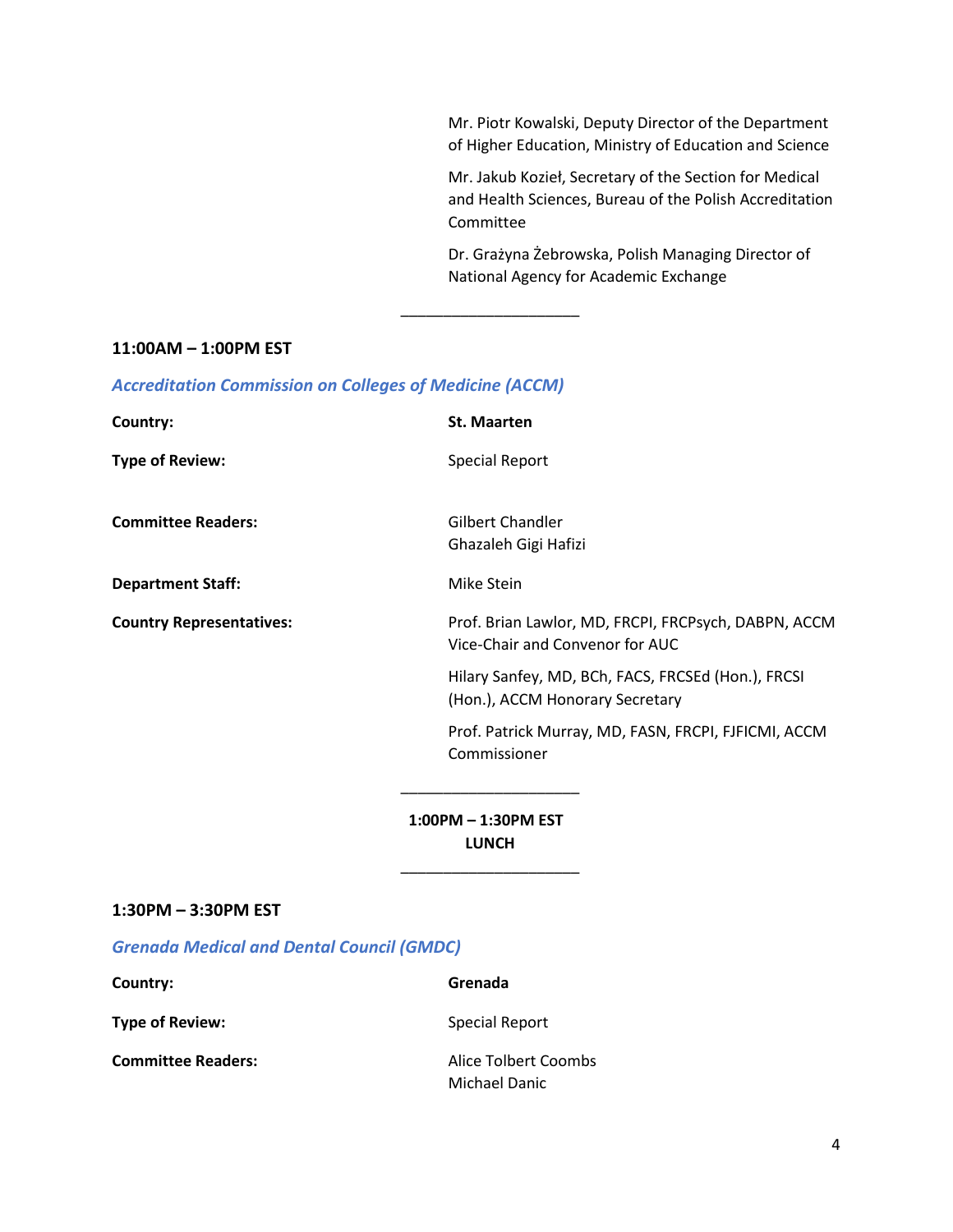Mr. Piotr Kowalski, Deputy Director of the Department of Higher Education, Ministry of Education and Science

Mr. Jakub Kozieł, Secretary of the Section for Medical and Health Sciences, Bureau of the Polish Accreditation Committee

Dr. Grażyna Żebrowska, Polish Managing Director of National Agency for Academic Exchange

#### **11:00AM – 1:00PM EST**

| <b>Accreditation Commission on Colleges of Medicine (ACCM)</b> |  |  |  |  |  |
|----------------------------------------------------------------|--|--|--|--|--|
|----------------------------------------------------------------|--|--|--|--|--|

**Country: St. Maarten Type of Review:** Special Report **Committee Readers:** Gilbert Chandler Ghazaleh Gigi Hafizi **Department Staff:** Mike Stein **Country Representatives:** Prof. Brian Lawlor, MD, FRCPI, FRCPsych, DABPN, ACCM Vice-Chair and Convenor for AUC Hilary Sanfey, MD, BCh, FACS, FRCSEd (Hon.), FRCSI (Hon.), ACCM Honorary Secretary Prof. Patrick Murray, MD, FASN, FRCPI, FJFICMI, ACCM Commissioner \_\_\_\_\_\_\_\_\_\_\_\_\_\_\_\_\_\_\_\_\_

\_\_\_\_\_\_\_\_\_\_\_\_\_\_\_\_\_\_\_\_\_

 **1:00PM – 1:30PM EST LUNCH**

\_\_\_\_\_\_\_\_\_\_\_\_\_\_\_\_\_\_\_\_\_

#### **1:30PM – 3:30PM EST**

*Grenada Medical and Dental Council (GMDC)*

**Country: Grenada**

**Type of Review:** Special Report

**Committee Readers:** Alice Tolbert Coombs

Michael Danic